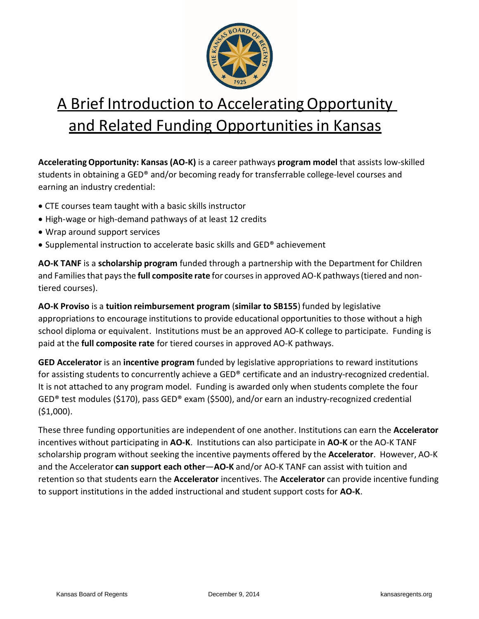

## A Brief Introduction to Accelerating Opportunity and Related Funding Opportunities in Kansas

**AcceleratingOpportunity: Kansas (AO-K)** is a career pathways **program model** that assists low-skilled students in obtaining a GED® and/or becoming ready for transferrable college-level courses and earning an industry credential:

- CTE courses team taught with a basic skills instructor
- High-wage or high-demand pathways of at least 12 credits
- Wrap around support services
- Supplemental instruction to accelerate basic skills and GED® achievement

**AO-K TANF** is a **scholarship program** funded through a partnership with the Department for Children and Familiesthat paysthe **full composite rate** for coursesin approved AO-K pathways(tiered and nontiered courses).

**AO-K Proviso** is a **tuition reimbursement program** (**similar to SB155**) funded by legislative appropriations to encourage institutions to provide educational opportunities to those without a high school diploma or equivalent. Institutions must be an approved AO-K college to participate. Funding is paid at the **full composite rate** for tiered courses in approved AO-K pathways.

**GED Accelerator** is an **incentive program** funded by legislative appropriations to reward institutions for assisting students to concurrently achieve a GED® certificate and an industry-recognized credential. It is not attached to any program model. Funding is awarded only when students complete the four GED® test modules (\$170), pass GED® exam (\$500), and/or earn an industry-recognized credential (\$1,000).

These three funding opportunities are independent of one another. Institutions can earn the **Accelerator** incentives without participating in **AO-K**. Institutions can also participate in **AO-K** or the AO-K TANF scholarship program without seeking the incentive payments offered by the **Accelerator**. However, AO-K and the Accelerator **can support each other**—**AO-K** and/or AO-K TANF can assist with tuition and retention so that students earn the **Accelerator** incentives. The **Accelerator** can provide incentive funding to support institutions in the added instructional and student support costs for **AO-K**.